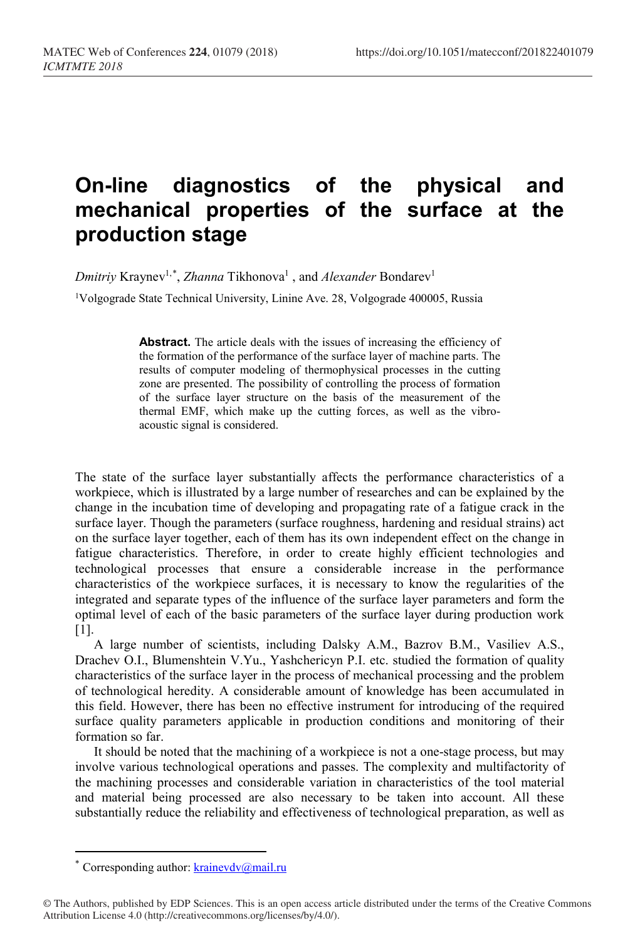## **On-line diagnostics of the physical and mechanical properties of the surface at the production stage**

*Dmitriy* Kraynev<sup>1,[\\*](#page-0-0)</sup>, *Zhanna* Tikhonova<sup>1</sup>, and *Alexander* Bondarev<sup>1</sup>

<sup>1</sup>Volgograde State Technical University, Linine Ave. 28, Volgograde 400005, Russia

Abstract. The article deals with the issues of increasing the efficiency of the formation of the performance of the surface layer of machine parts. The results of computer modeling of thermophysical processes in the cutting zone are presented. The possibility of controlling the process of formation of the surface layer structure on the basis of the measurement of the thermal EMF, which make up the cutting forces, as well as the vibroacoustic signal is considered.

The state of the surface layer substantially affects the performance characteristics of a workpiece, which is illustrated by a large number of researches and can be explained by the change in the incubation time of developing and propagating rate of a fatigue crack in the surface layer. Though the parameters (surface roughness, hardening and residual strains) act on the surface layer together, each of them has its own independent effect on the change in fatigue characteristics. Therefore, in order to create highly efficient technologies and technological processes that ensure a considerable increase in the performance characteristics of the workpiece surfaces, it is necessary to know the regularities of the integrated and separate types of the influence of the surface layer parameters and form the optimal level of each of the basic parameters of the surface layer during production work [1].

A large number of scientists, including Dalsky A.M., Bazrov B.M., Vasiliev A.S., Drachev O.I., Blumenshtein V.Yu., Yashchericyn P.I. etc. studied the formation of quality characteristics of the surface layer in the process of mechanical processing and the problem of technological heredity. A considerable amount of knowledge has been accumulated in this field. However, there has been no effective instrument for introducing of the required surface quality parameters applicable in production conditions and monitoring of their formation so far.

It should be noted that the machining of a workpiece is not a one-stage process, but may involve various technological operations and passes. The complexity and multifactority of the machining processes and considerable variation in characteristics of the tool material and material being processed are also necessary to be taken into account. All these substantially reduce the reliability and effectiveness of technological preparation, as well as

 $\overline{a}$ 

Corresponding author:  $k_{\text{rainevdv}}(\hat{\omega}_{\text{mail}})$ .ru

<span id="page-0-0"></span><sup>©</sup> The Authors, published by EDP Sciences. This is an open access article distributed under the terms of the Creative Commons Attribution License 4.0 (http://creativecommons.org/licenses/by/4.0/).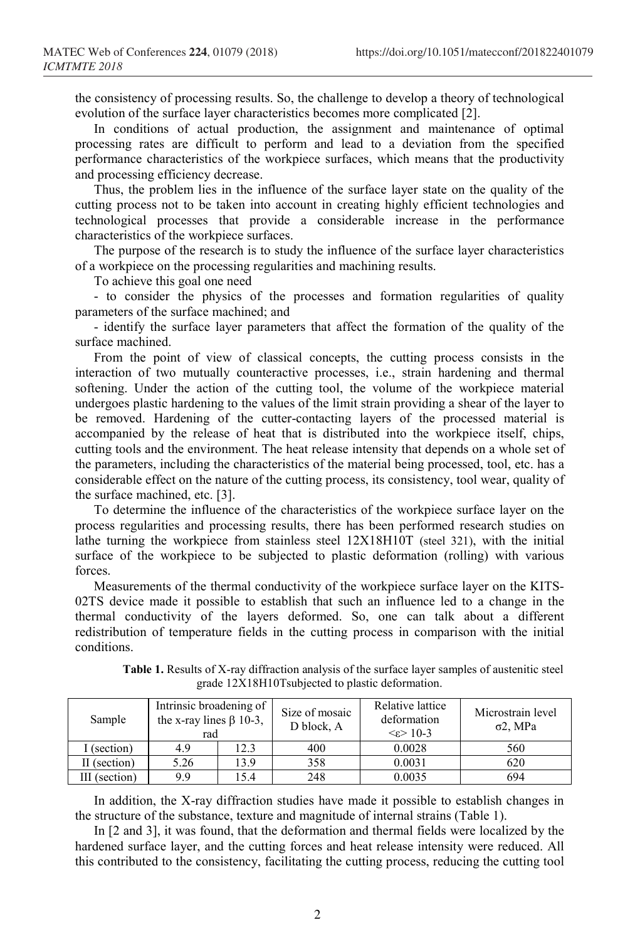the consistency of processing results. So, the challenge to develop a theory of technological evolution of the surface layer characteristics becomes more complicated [2].

In conditions of actual production, the assignment and maintenance of optimal processing rates are difficult to perform and lead to a deviation from the specified performance characteristics of the workpiece surfaces, which means that the productivity and processing efficiency decrease.

Thus, the problem lies in the influence of the surface layer state on the quality of the cutting process not to be taken into account in creating highly efficient technologies and technological processes that provide a considerable increase in the performance characteristics of the workpiece surfaces.

The purpose of the research is to study the influence of the surface layer characteristics of a workpiece on the processing regularities and machining results.

To achieve this goal one need

- to consider the physics of the processes and formation regularities of quality parameters of the surface machined; and

- identify the surface layer parameters that affect the formation of the quality of the surface machined.

From the point of view of classical concepts, the cutting process consists in the interaction of two mutually counteractive processes, i.e., strain hardening and thermal softening. Under the action of the cutting tool, the volume of the workpiece material undergoes plastic hardening to the values of the limit strain providing a shear of the layer to be removed. Hardening of the cutter-contacting layers of the processed material is accompanied by the release of heat that is distributed into the workpiece itself, chips, cutting tools and the environment. The heat release intensity that depends on a whole set of the parameters, including the characteristics of the material being processed, tool, etc. has a considerable effect on the nature of the cutting process, its consistency, tool wear, quality of the surface machined, etc. [3].

To determine the influence of the characteristics of the workpiece surface layer on the process regularities and processing results, there has been performed research studies on lathe turning the workpiece from stainless steel 12X18H10T (steel 321), with the initial surface of the workpiece to be subjected to plastic deformation (rolling) with various forces.

Measurements of the thermal conductivity of the workpiece surface layer on the KITS-02TS device made it possible to establish that such an influence led to a change in the thermal conductivity of the layers deformed. So, one can talk about a different redistribution of temperature fields in the cutting process in comparison with the initial conditions.

| Sample        | Intrinsic broadening of<br>the x-ray lines $\beta$ 10-3,<br>rad |      | Size of mosaic<br>D block, A | Relative lattice<br>deformation<br>$\leq \epsilon$ 10-3 | Microstrain level<br>$\sigma$ 2, MPa |
|---------------|-----------------------------------------------------------------|------|------------------------------|---------------------------------------------------------|--------------------------------------|
| (section)     | 4.9                                                             | 12.3 | 400                          | 0.0028                                                  | 560                                  |
| II (section)  | 5.26                                                            | 13.9 | 358                          | 0.0031                                                  | 620                                  |
| III (section) | 9.9                                                             | 15.4 | 248                          | 0.0035                                                  | 694                                  |

**Table 1.** Results of X-ray diffraction analysis of the surface layer samples of austenitic steel grade 12Х18Н10Тsubjected to plastic deformation.

In addition, the X-ray diffraction studies have made it possible to establish changes in the structure of the substance, texture and magnitude of internal strains (Table 1).

In [2 and 3], it was found, that the deformation and thermal fields were localized by the hardened surface layer, and the cutting forces and heat release intensity were reduced. All this contributed to the consistency, facilitating the cutting process, reducing the cutting tool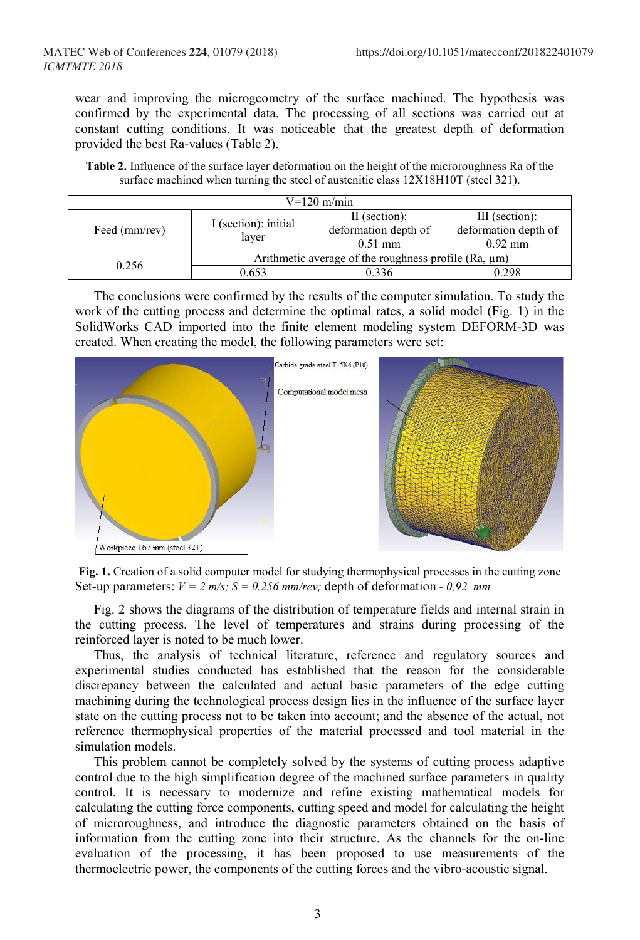wear and improving the microgeometry of the surface machined. The hypothesis was confirmed by the experimental data. The processing of all sections was carried out at constant cutting conditions. It was noticeable that the greatest depth of deformation provided the best Ra-values (Table 2).

**Table 2.** Influence of the surface layer deformation on the height of the microroughness Ra of the surface machined when turning the steel of austenitic class  $12X18H10T$  (steel 321).

| $V=120$ m/min |                                                               |                      |                      |  |  |  |  |
|---------------|---------------------------------------------------------------|----------------------|----------------------|--|--|--|--|
|               |                                                               | II (section):        | III (section):       |  |  |  |  |
| Feed (mm/rev) | I (section): initial<br>layer                                 | deformation depth of | deformation depth of |  |  |  |  |
|               |                                                               | $0.51$ mm            | $0.92$ mm            |  |  |  |  |
| 0.256         | Arithmetic average of the roughness profile ( $Ra$ , $\mu$ m) |                      |                      |  |  |  |  |
|               | 0.653                                                         | 0.336                | 0.298                |  |  |  |  |

The conclusions were confirmed by the results of the computer simulation. To study the work of the cutting process and determine the optimal rates, a solid model (Fig. 1) in the SolidWorks CAD imported into the finite element modeling system DEFORM-3D was created. When creating the model, the following parameters were set:



**Fig. 1.** Creation of a solid computer model for studying thermophysical processes in the cutting zone Set-up parameters: *V = 2 m/s; S = 0.256 mm/rev;* depth of deformation *- 0,92 mm*

Fig. 2 shows the diagrams of the distribution of temperature fields and internal strain in the cutting process. The level of temperatures and strains during processing of the reinforced layer is noted to be much lower.

Thus, the analysis of technical literature, reference and regulatory sources and experimental studies conducted has established that the reason for the considerable discrepancy between the calculated and actual basic parameters of the edge cutting machining during the technological process design lies in the influence of the surface layer state on the cutting process not to be taken into account; and the absence of the actual, not reference thermophysical properties of the material processed and tool material in the simulation models.

This problem cannot be completely solved by the systems of cutting process adaptive control due to the high simplification degree of the machined surface parameters in quality control. It is necessary to modernize and refine existing mathematical models for calculating the cutting force components, cutting speed and model for calculating the height of microroughness, and introduce the diagnostic parameters obtained on the basis of information from the cutting zone into their structure. As the channels for the on-line evaluation of the processing, it has been proposed to use measurements of the thermoelectric power, the components of the cutting forces and the vibro-acoustic signal.